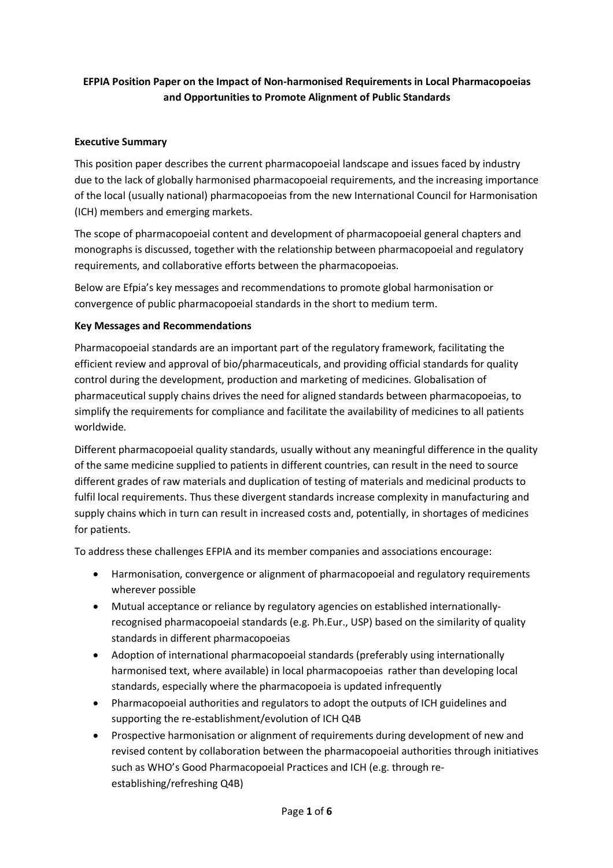# **EFPIA Position Paper on the Impact of Non-harmonised Requirements in Local Pharmacopoeias and Opportunities to Promote Alignment of Public Standards**

### **Executive Summary**

This position paper describes the current pharmacopoeial landscape and issues faced by industry due to the lack of globally harmonised pharmacopoeial requirements, and the increasing importance of the local (usually national) pharmacopoeias from the new International Council for Harmonisation (ICH) members and emerging markets.

The scope of pharmacopoeial content and development of pharmacopoeial general chapters and monographs is discussed, together with the relationship between pharmacopoeial and regulatory requirements, and collaborative efforts between the pharmacopoeias.

Below are Efpia's key messages and recommendations to promote global harmonisation or convergence of public pharmacopoeial standards in the short to medium term.

#### **Key Messages and Recommendations**

Pharmacopoeial standards are an important part of the regulatory framework, facilitating the efficient review and approval of bio/pharmaceuticals, and providing official standards for quality control during the development, production and marketing of medicines. Globalisation of pharmaceutical supply chains drives the need for aligned standards between pharmacopoeias, to simplify the requirements for compliance and facilitate the availability of medicines to all patients worldwide.

Different pharmacopoeial quality standards, usually without any meaningful difference in the quality of the same medicine supplied to patients in different countries, can result in the need to source different grades of raw materials and duplication of testing of materials and medicinal products to fulfil local requirements. Thus these divergent standards increase complexity in manufacturing and supply chains which in turn can result in increased costs and, potentially, in shortages of medicines for patients.

To address these challenges EFPIA and its member companies and associations encourage:

- Harmonisation, convergence or alignment of pharmacopoeial and regulatory requirements wherever possible
- Mutual acceptance or reliance by regulatory agencies on established internationallyrecognised pharmacopoeial standards (e.g. Ph.Eur., USP) based on the similarity of quality standards in different pharmacopoeias
- Adoption of international pharmacopoeial standards (preferably using internationally harmonised text, where available) in local pharmacopoeias rather than developing local standards, especially where the pharmacopoeia is updated infrequently
- Pharmacopoeial authorities and regulators to adopt the outputs of ICH guidelines and supporting the re-establishment/evolution of ICH Q4B
- Prospective harmonisation or alignment of requirements during development of new and revised content by collaboration between the pharmacopoeial authorities through initiatives such as WHO's Good Pharmacopoeial Practices and ICH (e.g. through reestablishing/refreshing Q4B)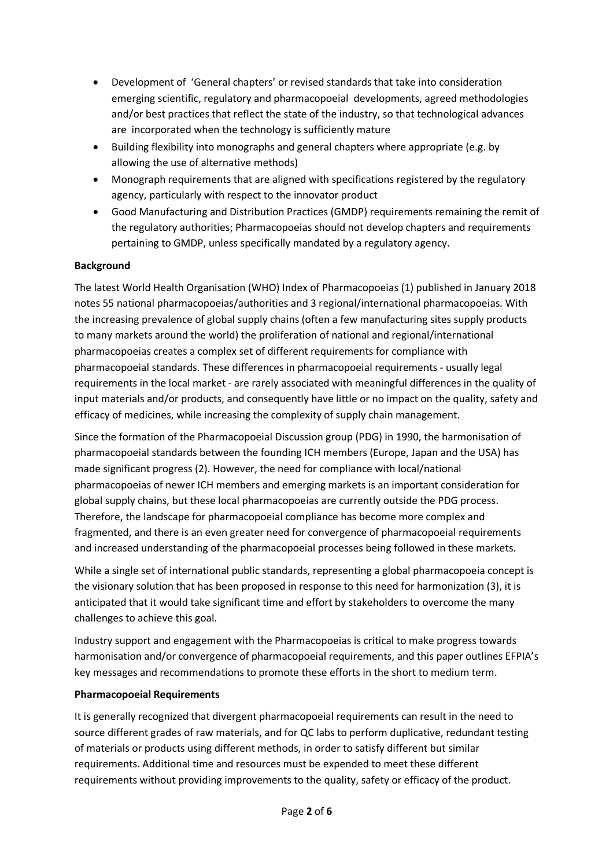- Development of 'General chapters' or revised standards that take into consideration emerging scientific, regulatory and pharmacopoeial developments, agreed methodologies and/or best practices that reflect the state of the industry, so that technological advances are incorporated when the technology is sufficiently mature
- Building flexibility into monographs and general chapters where appropriate (e.g. by allowing the use of alternative methods)
- Monograph requirements that are aligned with specifications registered by the regulatory agency, particularly with respect to the innovator product
- Good Manufacturing and Distribution Practices (GMDP) requirements remaining the remit of the regulatory authorities; Pharmacopoeias should not develop chapters and requirements pertaining to GMDP, unless specifically mandated by a regulatory agency.

#### **Background**

The latest World Health Organisation (WHO) Index of Pharmacopoeias (1) published in January 2018 notes 55 national pharmacopoeias/authorities and 3 regional/international pharmacopoeias. With the increasing prevalence of global supply chains (often a few manufacturing sites supply products to many markets around the world) the proliferation of national and regional/international pharmacopoeias creates a complex set of different requirements for compliance with pharmacopoeial standards. These differences in pharmacopoeial requirements - usually legal requirements in the local market - are rarely associated with meaningful differences in the quality of input materials and/or products, and consequently have little or no impact on the quality, safety and efficacy of medicines, while increasing the complexity of supply chain management.

Since the formation of the Pharmacopoeial Discussion group (PDG) in 1990, the harmonisation of pharmacopoeial standards between the founding ICH members (Europe, Japan and the USA) has made significant progress (2). However, the need for compliance with local/national pharmacopoeias of newer ICH members and emerging markets is an important consideration for global supply chains, but these local pharmacopoeias are currently outside the PDG process. Therefore, the landscape for pharmacopoeial compliance has become more complex and fragmented, and there is an even greater need for convergence of pharmacopoeial requirements and increased understanding of the pharmacopoeial processes being followed in these markets.

While a single set of international public standards, representing a global pharmacopoeia concept is the visionary solution that has been proposed in response to this need for harmonization (3), it is anticipated that it would take significant time and effort by stakeholders to overcome the many challenges to achieve this goal.

Industry support and engagement with the Pharmacopoeias is critical to make progress towards harmonisation and/or convergence of pharmacopoeial requirements, and this paper outlines EFPIA's key messages and recommendations to promote these efforts in the short to medium term.

#### **Pharmacopoeial Requirements**

It is generally recognized that divergent pharmacopoeial requirements can result in the need to source different grades of raw materials, and for QC labs to perform duplicative, redundant testing of materials or products using different methods, in order to satisfy different but similar requirements. Additional time and resources must be expended to meet these different requirements without providing improvements to the quality, safety or efficacy of the product.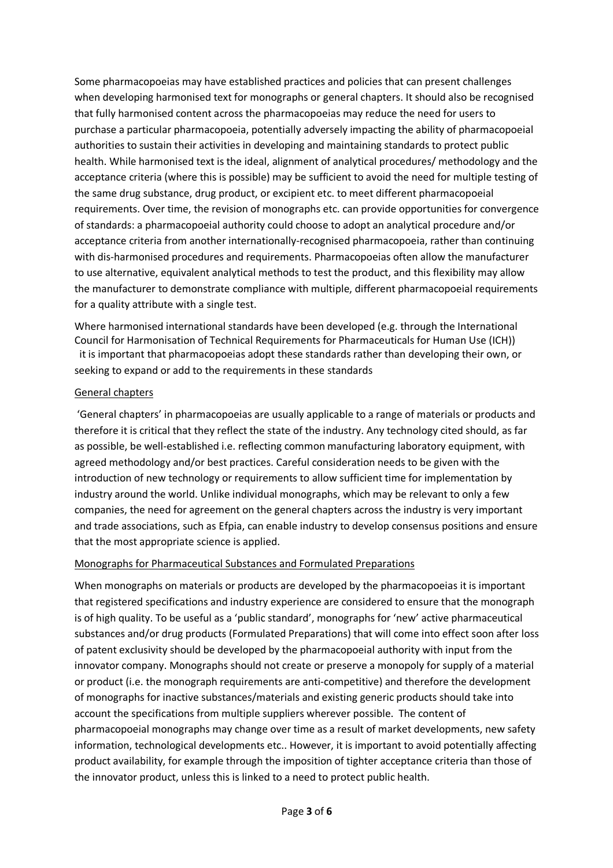Some pharmacopoeias may have established practices and policies that can present challenges when developing harmonised text for monographs or general chapters. It should also be recognised that fully harmonised content across the pharmacopoeias may reduce the need for users to purchase a particular pharmacopoeia, potentially adversely impacting the ability of pharmacopoeial authorities to sustain their activities in developing and maintaining standards to protect public health. While harmonised text is the ideal, alignment of analytical procedures/ methodology and the acceptance criteria (where this is possible) may be sufficient to avoid the need for multiple testing of the same drug substance, drug product, or excipient etc. to meet different pharmacopoeial requirements. Over time, the revision of monographs etc. can provide opportunities for convergence of standards: a pharmacopoeial authority could choose to adopt an analytical procedure and/or acceptance criteria from another internationally-recognised pharmacopoeia, rather than continuing with dis-harmonised procedures and requirements. Pharmacopoeias often allow the manufacturer to use alternative, equivalent analytical methods to test the product, and this flexibility may allow the manufacturer to demonstrate compliance with multiple, different pharmacopoeial requirements for a quality attribute with a single test.

Where harmonised international standards have been developed (e.g. through the International Council for Harmonisation of Technical Requirements for Pharmaceuticals for Human Use (ICH)) it is important that pharmacopoeias adopt these standards rather than developing their own, or seeking to expand or add to the requirements in these standards

#### General chapters

'General chapters' in pharmacopoeias are usually applicable to a range of materials or products and therefore it is critical that they reflect the state of the industry. Any technology cited should, as far as possible, be well-established i.e. reflecting common manufacturing laboratory equipment, with agreed methodology and/or best practices. Careful consideration needs to be given with the introduction of new technology or requirements to allow sufficient time for implementation by industry around the world. Unlike individual monographs, which may be relevant to only a few companies, the need for agreement on the general chapters across the industry is very important and trade associations, such as Efpia, can enable industry to develop consensus positions and ensure that the most appropriate science is applied.

#### Monographs for Pharmaceutical Substances and Formulated Preparations

When monographs on materials or products are developed by the pharmacopoeias it is important that registered specifications and industry experience are considered to ensure that the monograph is of high quality. To be useful as a 'public standard', monographs for 'new' active pharmaceutical substances and/or drug products (Formulated Preparations) that will come into effect soon after loss of patent exclusivity should be developed by the pharmacopoeial authority with input from the innovator company. Monographs should not create or preserve a monopoly for supply of a material or product (i.e. the monograph requirements are anti-competitive) and therefore the development of monographs for inactive substances/materials and existing generic products should take into account the specifications from multiple suppliers wherever possible. The content of pharmacopoeial monographs may change over time as a result of market developments, new safety information, technological developments etc.. However, it is important to avoid potentially affecting product availability, for example through the imposition of tighter acceptance criteria than those of the innovator product, unless this is linked to a need to protect public health.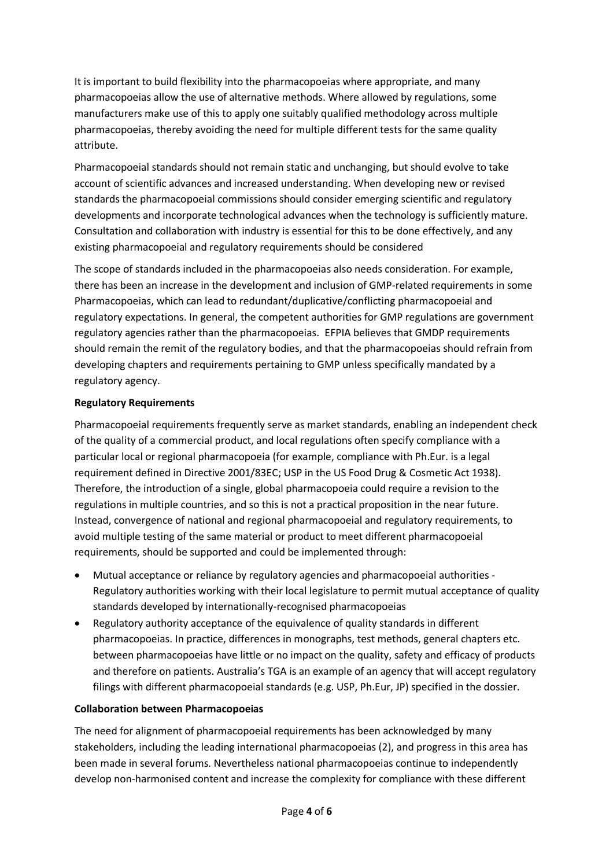It is important to build flexibility into the pharmacopoeias where appropriate, and many pharmacopoeias allow the use of alternative methods. Where allowed by regulations, some manufacturers make use of this to apply one suitably qualified methodology across multiple pharmacopoeias, thereby avoiding the need for multiple different tests for the same quality attribute.

Pharmacopoeial standards should not remain static and unchanging, but should evolve to take account of scientific advances and increased understanding. When developing new or revised standards the pharmacopoeial commissions should consider emerging scientific and regulatory developments and incorporate technological advances when the technology is sufficiently mature. Consultation and collaboration with industry is essential for this to be done effectively, and any existing pharmacopoeial and regulatory requirements should be considered

The scope of standards included in the pharmacopoeias also needs consideration. For example, there has been an increase in the development and inclusion of GMP-related requirements in some Pharmacopoeias, which can lead to redundant/duplicative/conflicting pharmacopoeial and regulatory expectations. In general, the competent authorities for GMP regulations are government regulatory agencies rather than the pharmacopoeias. EFPIA believes that GMDP requirements should remain the remit of the regulatory bodies, and that the pharmacopoeias should refrain from developing chapters and requirements pertaining to GMP unless specifically mandated by a regulatory agency.

### **Regulatory Requirements**

Pharmacopoeial requirements frequently serve as market standards, enabling an independent check of the quality of a commercial product, and local regulations often specify compliance with a particular local or regional pharmacopoeia (for example, compliance with Ph.Eur. is a legal requirement defined in Directive 2001/83EC; USP in the US Food Drug & Cosmetic Act 1938). Therefore, the introduction of a single, global pharmacopoeia could require a revision to the regulations in multiple countries, and so this is not a practical proposition in the near future. Instead, convergence of national and regional pharmacopoeial and regulatory requirements, to avoid multiple testing of the same material or product to meet different pharmacopoeial requirements, should be supported and could be implemented through:

- Mutual acceptance or reliance by regulatory agencies and pharmacopoeial authorities Regulatory authorities working with their local legislature to permit mutual acceptance of quality standards developed by internationally-recognised pharmacopoeias
- Regulatory authority acceptance of the equivalence of quality standards in different pharmacopoeias. In practice, differences in monographs, test methods, general chapters etc. between pharmacopoeias have little or no impact on the quality, safety and efficacy of products and therefore on patients. Australia's TGA is an example of an agency that will accept regulatory filings with different pharmacopoeial standards (e.g. USP, Ph.Eur, JP) specified in the dossier.

#### **Collaboration between Pharmacopoeias**

The need for alignment of pharmacopoeial requirements has been acknowledged by many stakeholders, including the leading international pharmacopoeias (2), and progress in this area has been made in several forums. Nevertheless national pharmacopoeias continue to independently develop non-harmonised content and increase the complexity for compliance with these different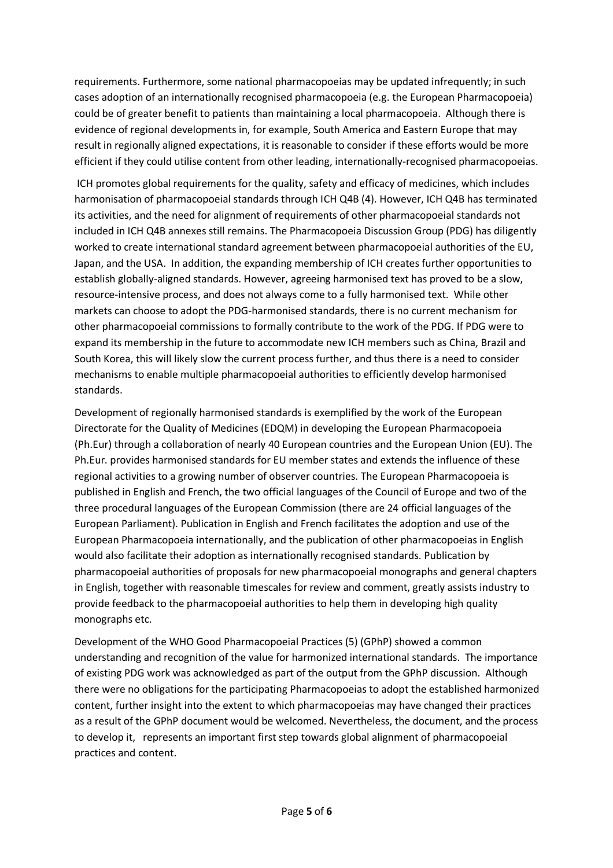requirements. Furthermore, some national pharmacopoeias may be updated infrequently; in such cases adoption of an internationally recognised pharmacopoeia (e.g. the European Pharmacopoeia) could be of greater benefit to patients than maintaining a local pharmacopoeia. Although there is evidence of regional developments in, for example, South America and Eastern Europe that may result in regionally aligned expectations, it is reasonable to consider if these efforts would be more efficient if they could utilise content from other leading, internationally-recognised pharmacopoeias.

ICH promotes global requirements for the quality, safety and efficacy of medicines, which includes harmonisation of pharmacopoeial standards through ICH Q4B (4). However, ICH Q4B has terminated its activities, and the need for alignment of requirements of other pharmacopoeial standards not included in ICH Q4B annexes still remains. The Pharmacopoeia Discussion Group (PDG) has diligently worked to create international standard agreement between pharmacopoeial authorities of the EU, Japan, and the USA. In addition, the expanding membership of ICH creates further opportunities to establish globally-aligned standards. However, agreeing harmonised text has proved to be a slow, resource-intensive process, and does not always come to a fully harmonised text. While other markets can choose to adopt the PDG-harmonised standards, there is no current mechanism for other pharmacopoeial commissions to formally contribute to the work of the PDG. If PDG were to expand its membership in the future to accommodate new ICH members such as China, Brazil and South Korea, this will likely slow the current process further, and thus there is a need to consider mechanisms to enable multiple pharmacopoeial authorities to efficiently develop harmonised standards.

Development of regionally harmonised standards is exemplified by the work of the European Directorate for the Quality of Medicines (EDQM) in developing the European Pharmacopoeia (Ph.Eur) through a collaboration of nearly 40 European countries and the European Union (EU). The Ph.Eur. provides harmonised standards for EU member states and extends the influence of these regional activities to a growing number of observer countries. The European Pharmacopoeia is published in English and French, the two official languages of the Council of Europe and two of the three procedural languages of the European Commission (there are 24 official languages of the European Parliament). Publication in English and French facilitates the adoption and use of the European Pharmacopoeia internationally, and the publication of other pharmacopoeias in English would also facilitate their adoption as internationally recognised standards. Publication by pharmacopoeial authorities of proposals for new pharmacopoeial monographs and general chapters in English, together with reasonable timescales for review and comment, greatly assists industry to provide feedback to the pharmacopoeial authorities to help them in developing high quality monographs etc.

Development of the WHO Good Pharmacopoeial Practices (5) (GPhP) showed a common understanding and recognition of the value for harmonized international standards. The importance of existing PDG work was acknowledged as part of the output from the GPhP discussion. Although there were no obligations for the participating Pharmacopoeias to adopt the established harmonized content, further insight into the extent to which pharmacopoeias may have changed their practices as a result of the GPhP document would be welcomed. Nevertheless, the document, and the process to develop it, represents an important first step towards global alignment of pharmacopoeial practices and content.